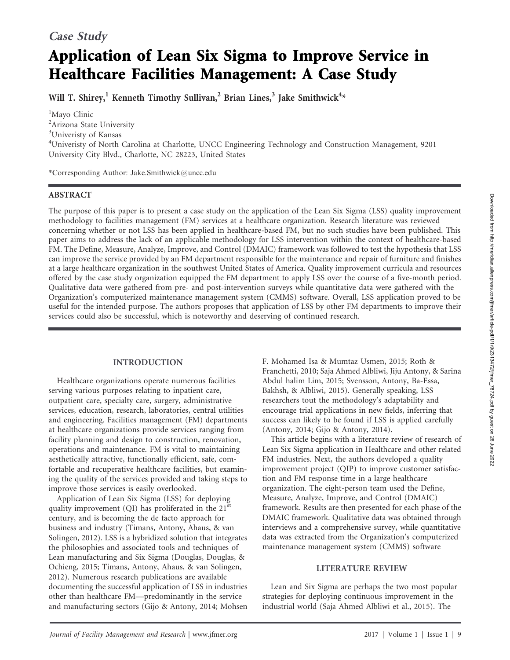# Application of Lean Six Sigma to Improve Service in Healthcare Facilities Management: A Case Study

Will T. Shirey,<sup>1</sup> Kenneth Timothy Sullivan,<sup>2</sup> Brian Lines,<sup>3</sup> Jake Smithwick<sup>4</sup>\*

<sup>1</sup>Mayo Clinic

<sup>2</sup>Arizona State University

<sup>3</sup>Univeristy of Kansas

4 Univeristy of North Carolina at Charlotte, UNCC Engineering Technology and Construction Management, 9201 University City Blvd., Charlotte, NC 28223, United States

\*Corresponding Author: Jake.Smithwick@uncc.edu

# ABSTRACT

The purpose of this paper is to present a case study on the application of the Lean Six Sigma (LSS) quality improvement methodology to facilities management (FM) services at a healthcare organization. Research literature was reviewed concerning whether or not LSS has been applied in healthcare-based FM, but no such studies have been published. This paper aims to address the lack of an applicable methodology for LSS intervention within the context of healthcare-based FM. The Define, Measure, Analyze, Improve, and Control (DMAIC) framework was followed to test the hypothesis that LSS can improve the service provided by an FM department responsible for the maintenance and repair of furniture and finishes at a large healthcare organization in the southwest United States of America. Quality improvement curricula and resources offered by the case study organization equipped the FM department to apply LSS over the course of a five-month period. Qualitative data were gathered from pre- and post-intervention surveys while quantitative data were gathered with the Organization's computerized maintenance management system (CMMS) software. Overall, LSS application proved to be useful for the intended purpose. The authors proposes that application of LSS by other FM departments to improve their services could also be successful, which is noteworthy and deserving of continued research.

# INTRODUCTION

Healthcare organizations operate numerous facilities serving various purposes relating to inpatient care, outpatient care, specialty care, surgery, administrative services, education, research, laboratories, central utilities and engineering. Facilities management (FM) departments at healthcare organizations provide services ranging from facility planning and design to construction, renovation, operations and maintenance. FM is vital to maintaining aesthetically attractive, functionally efficient, safe, comfortable and recuperative healthcare facilities, but examining the quality of the services provided and taking steps to improve those services is easily overlooked.

Application of Lean Six Sigma (LSS) for deploying quality improvement  $(QI)$  has proliferated in the 21<sup>st</sup> century, and is becoming the de facto approach for business and industry (Timans, Antony, Ahaus, & van Solingen, 2012). LSS is a hybridized solution that integrates the philosophies and associated tools and techniques of Lean manufacturing and Six Sigma (Douglas, Douglas, & Ochieng, 2015; Timans, Antony, Ahaus, & van Solingen, 2012). Numerous research publications are available documenting the successful application of LSS in industries other than healthcare FM—predominantly in the service and manufacturing sectors (Gijo & Antony, 2014; Mohsen

F. Mohamed Isa & Mumtaz Usmen, 2015; Roth & Franchetti, 2010; Saja Ahmed Albliwi, Jiju Antony, & Sarina Abdul halim Lim, 2015; Svensson, Antony, Ba-Essa, Bakhsh, & Albliwi, 2015). Generally speaking, LSS researchers tout the methodology's adaptability and encourage trial applications in new fields, inferring that success can likely to be found if LSS is applied carefully (Antony, 2014; Gijo & Antony, 2014).

This article begins with a literature review of research of Lean Six Sigma application in Healthcare and other related FM industries. Next, the authors developed a quality improvement project (QIP) to improve customer satisfaction and FM response time in a large healthcare organization. The eight-person team used the Define, Measure, Analyze, Improve, and Control (DMAIC) framework. Results are then presented for each phase of the DMAIC framework. Qualitative data was obtained through interviews and a comprehensive survey, while quantitative data was extracted from the Organization's computerized maintenance management system (CMMS) software

# LITERATURE REVIEW

Lean and Six Sigma are perhaps the two most popular strategies for deploying continuous improvement in the industrial world (Saja Ahmed Albliwi et al., 2015). The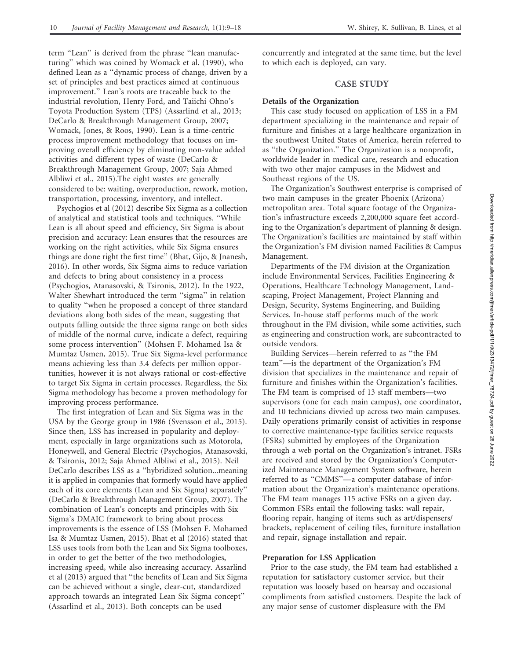term ''Lean'' is derived from the phrase ''lean manufacturing'' which was coined by Womack et al. (1990), who defined Lean as a ''dynamic process of change, driven by a set of principles and best practices aimed at continuous improvement.'' Lean's roots are traceable back to the industrial revolution, Henry Ford, and Taiichi Ohno's Toyota Production System (TPS) (Assarlind et al., 2013; DeCarlo & Breakthrough Management Group, 2007; Womack, Jones, & Roos, 1990). Lean is a time-centric process improvement methodology that focuses on improving overall efficiency by eliminating non-value added activities and different types of waste (DeCarlo & Breakthrough Management Group, 2007; Saja Ahmed Albliwi et al., 2015).The eight wastes are generally considered to be: waiting, overproduction, rework, motion, transportation, processing, inventory, and intellect.

Psychogios et al (2012) describe Six Sigma as a collection of analytical and statistical tools and techniques. ''While Lean is all about speed and efficiency, Six Sigma is about precision and accuracy: Lean ensures that the resources are working on the right activities, while Six Sigma ensures things are done right the first time'' (Bhat, Gijo, & Jnanesh, 2016). In other words, Six Sigma aims to reduce variation and defects to bring about consistency in a process (Psychogios, Atanasovski, & Tsironis, 2012). In the 1922, Walter Shewhart introduced the term "sigma" in relation to quality ''when he proposed a concept of three standard deviations along both sides of the mean, suggesting that outputs falling outside the three sigma range on both sides of middle of the normal curve, indicate a defect, requiring some process intervention'' (Mohsen F. Mohamed Isa & Mumtaz Usmen, 2015). True Six Sigma-level performance means achieving less than 3.4 defects per million opportunities, however it is not always rational or cost-effective to target Six Sigma in certain processes. Regardless, the Six Sigma methodology has become a proven methodology for improving process performance.

The first integration of Lean and Six Sigma was in the USA by the George group in 1986 (Svensson et al., 2015). Since then, LSS has increased in popularity and deployment, especially in large organizations such as Motorola, Honeywell, and General Electric (Psychogios, Atanasovski, & Tsironis, 2012; Saja Ahmed Albliwi et al., 2015). Neil DeCarlo describes LSS as a ''hybridized solution...meaning it is applied in companies that formerly would have applied each of its core elements (Lean and Six Sigma) separately'' (DeCarlo & Breakthrough Management Group, 2007). The combination of Lean's concepts and principles with Six Sigma's DMAIC framework to bring about process improvements is the essence of LSS (Mohsen F. Mohamed Isa & Mumtaz Usmen, 2015). Bhat et al (2016) stated that LSS uses tools from both the Lean and Six Sigma toolboxes, in order to get the better of the two methodologies, increasing speed, while also increasing accuracy. Assarlind et al (2013) argued that ''the benefits of Lean and Six Sigma can be achieved without a single, clear-cut, standardized approach towards an integrated Lean Six Sigma concept'' (Assarlind et al., 2013). Both concepts can be used

concurrently and integrated at the same time, but the level to which each is deployed, can vary.

## CASE STUDY

#### Details of the Organization

This case study focused on application of LSS in a FM department specializing in the maintenance and repair of furniture and finishes at a large healthcare organization in the southwest United States of America, herein referred to as ''the Organization.'' The Organization is a nonprofit, worldwide leader in medical care, research and education with two other major campuses in the Midwest and Southeast regions of the US.

The Organization's Southwest enterprise is comprised of two main campuses in the greater Phoenix (Arizona) metropolitan area. Total square footage of the Organization's infrastructure exceeds 2,200,000 square feet according to the Organization's department of planning & design. The Organization's facilities are maintained by staff within the Organization's FM division named Facilities & Campus Management.

Departments of the FM division at the Organization include Environmental Services, Facilities Engineering & Operations, Healthcare Technology Management, Landscaping, Project Management, Project Planning and Design, Security, Systems Engineering, and Building Services. In-house staff performs much of the work throughout in the FM division, while some activities, such as engineering and construction work, are subcontracted to outside vendors.

Building Services—herein referred to as ''the FM team''—is the department of the Organization's FM division that specializes in the maintenance and repair of furniture and finishes within the Organization's facilities. The FM team is comprised of 13 staff members—two supervisors (one for each main campus), one coordinator, and 10 technicians divvied up across two main campuses. Daily operations primarily consist of activities in response to corrective maintenance-type facilities service requests (FSRs) submitted by employees of the Organization through a web portal on the Organization's intranet. FSRs are received and stored by the Organization's Computerized Maintenance Management System software, herein referred to as ''CMMS''—a computer database of information about the Organization's maintenance operations. The FM team manages 115 active FSRs on a given day. Common FSRs entail the following tasks: wall repair, flooring repair, hanging of items such as art/dispensers/ brackets, replacement of ceiling tiles, furniture installation and repair, signage installation and repair.

## Preparation for LSS Application

Prior to the case study, the FM team had established a reputation for satisfactory customer service, but their reputation was loosely based on hearsay and occasional compliments from satisfied customers. Despite the lack of any major sense of customer displeasure with the FM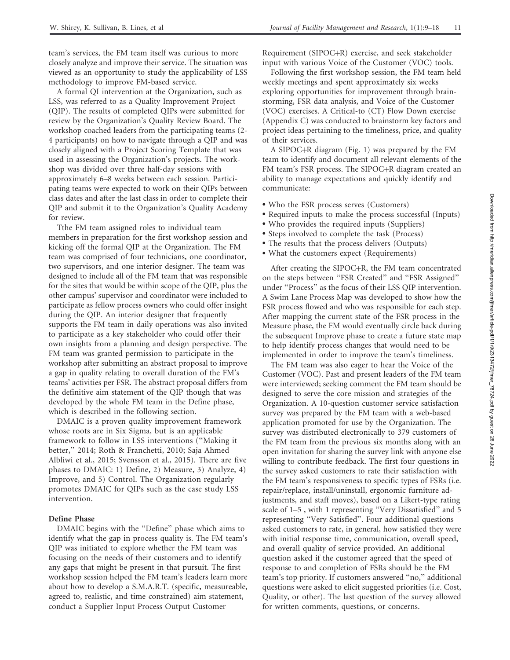W. Shirey, K. Sullivan, B. Lines, et al Journal of Facility Management and Research, 1(1):9–18 11

team's services, the FM team itself was curious to more closely analyze and improve their service. The situation was viewed as an opportunity to study the applicability of LSS methodology to improve FM-based service.

A formal QI intervention at the Organization, such as LSS, was referred to as a Quality Improvement Project (QIP). The results of completed QIPs were submitted for review by the Organization's Quality Review Board. The workshop coached leaders from the participating teams (2- 4 participants) on how to navigate through a QIP and was closely aligned with a Project Scoring Template that was used in assessing the Organization's projects. The workshop was divided over three half-day sessions with approximately 6–8 weeks between each session. Participating teams were expected to work on their QIPs between class dates and after the last class in order to complete their QIP and submit it to the Organization's Quality Academy for review.

Tthe FM team assigned roles to individual team members in preparation for the first workshop session and kicking off the formal QIP at the Organization. The FM team was comprised of four technicians, one coordinator, two supervisors, and one interior designer. The team was designed to include all of the FM team that was responsible for the sites that would be within scope of the QIP, plus the other campus' supervisor and coordinator were included to participate as fellow process owners who could offer insight during the QIP. An interior designer that frequently supports the FM team in daily operations was also invited to participate as a key stakeholder who could offer their own insights from a planning and design perspective. The FM team was granted permission to participate in the workshop after submitting an abstract proposal to improve a gap in quality relating to overall duration of the FM's teams' activities per FSR. The abstract proposal differs from the definitive aim statement of the QIP though that was developed by the whole FM team in the Define phase, which is described in the following section.

DMAIC is a proven quality improvement framework whose roots are in Six Sigma, but is an applicable framework to follow in LSS interventions (''Making it better,'' 2014; Roth & Franchetti, 2010; Saja Ahmed Albliwi et al., 2015; Svensson et al., 2015). There are five phases to DMAIC: 1) Define, 2) Measure, 3) Analyze, 4) Improve, and 5) Control. The Organization regularly promotes DMAIC for QIPs such as the case study LSS intervention.

## Define Phase

DMAIC begins with the ''Define'' phase which aims to identify what the gap in process quality is. The FM team's QIP was initiated to explore whether the FM team was focusing on the needs of their customers and to identify any gaps that might be present in that pursuit. The first workshop session helped the FM team's leaders learn more about how to develop a S.M.A.R.T. (specific, measureable, agreed to, realistic, and time constrained) aim statement, conduct a Supplier Input Process Output Customer

Requirement (SIPOC+R) exercise, and seek stakeholder input with various Voice of the Customer (VOC) tools.

Following the first workshop session, the FM team held weekly meetings and spent approximately six weeks exploring opportunities for improvement through brainstorming, FSR data analysis, and Voice of the Customer (VOC) exercises. A Critical-to (CT) Flow Down exercise (Appendix C) was conducted to brainstorm key factors and project ideas pertaining to the timeliness, price, and quality of their services.

A SIPOC+R diagram (Fig. 1) was prepared by the FM team to identify and document all relevant elements of the FM team's FSR process. The SIPOC+R diagram created an ability to manage expectations and quickly identify and communicate:

- Who the FSR process serves (Customers)
- Required inputs to make the process successful (Inputs)
- Who provides the required inputs (Suppliers)
- Steps involved to complete the task (Process)
- The results that the process delivers (Outputs)
- What the customers expect (Requirements)

After creating the SIPOC $+R$ , the FM team concentrated on the steps between ''FSR Created'' and ''FSR Assigned'' under ''Process'' as the focus of their LSS QIP intervention. A Swim Lane Process Map was developed to show how the FSR process flowed and who was responsible for each step. After mapping the current state of the FSR process in the Measure phase, the FM would eventually circle back during the subsequent Improve phase to create a future state map to help identify process changes that would need to be implemented in order to improve the team's timeliness.

The FM team was also eager to hear the Voice of the Customer (VOC). Past and present leaders of the FM team were interviewed; seeking comment the FM team should be designed to serve the core mission and strategies of the Organization. A 10-question customer service satisfaction survey was prepared by the FM team with a web-based application promoted for use by the Organization. The survey was distributed electronically to 379 customers of the FM team from the previous six months along with an open invitation for sharing the survey link with anyone else willing to contribute feedback. The first four questions in the survey asked customers to rate their satisfaction with the FM team's responsiveness to specific types of FSRs (i.e. repair/replace, install/uninstall, ergonomic furniture adjustments, and staff moves), based on a Likert-type rating scale of 1-5, with 1 representing "Very Dissatisfied" and 5 representing ''Very Satisfied''. Four additional questions asked customers to rate, in general, how satisfied they were with initial response time, communication, overall speed, and overall quality of service provided. An additional question asked if the customer agreed that the speed of response to and completion of FSRs should be the FM team's top priority. If customers answered ''no,'' additional questions were asked to elicit suggested priorities (i.e. Cost, Quality, or other). The last question of the survey allowed for written comments, questions, or concerns.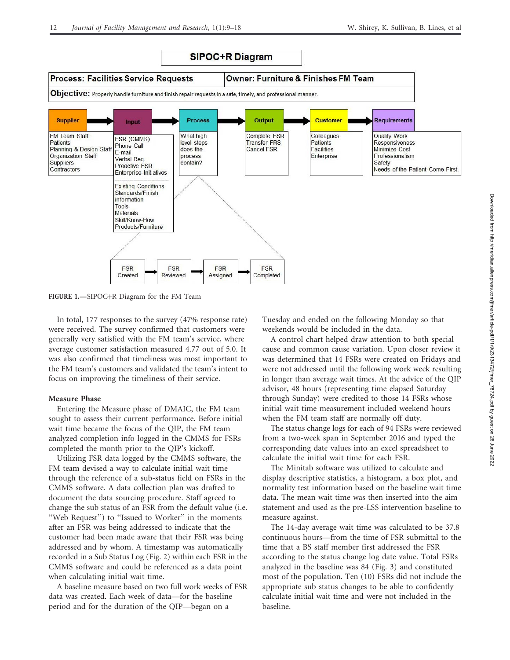

FIGURE 1.-SIPOC+R Diagram for the FM Team

In total, 177 responses to the survey (47% response rate) were received. The survey confirmed that customers were generally very satisfied with the FM team's service, where average customer satisfaction measured 4.77 out of 5.0. It was also confirmed that timeliness was most important to the FM team's customers and validated the team's intent to focus on improving the timeliness of their service.

## Measure Phase

Entering the Measure phase of DMAIC, the FM team sought to assess their current performance. Before initial wait time became the focus of the QIP, the FM team analyzed completion info logged in the CMMS for FSRs completed the month prior to the QIP's kickoff.

Utilizing FSR data logged by the CMMS software, the FM team devised a way to calculate initial wait time through the reference of a sub-status field on FSRs in the CMMS software. A data collection plan was drafted to document the data sourcing procedure. Staff agreed to change the sub status of an FSR from the default value (i.e. "Web Request") to "Issued to Worker" in the moments after an FSR was being addressed to indicate that the customer had been made aware that their FSR was being addressed and by whom. A timestamp was automatically recorded in a Sub Status Log (Fig. 2) within each FSR in the CMMS software and could be referenced as a data point when calculating initial wait time.

A baseline measure based on two full work weeks of FSR data was created. Each week of data—for the baseline period and for the duration of the QIP—began on a

Tuesday and ended on the following Monday so that weekends would be included in the data.

A control chart helped draw attention to both special cause and common cause variation. Upon closer review it was determined that 14 FSRs were created on Fridays and were not addressed until the following work week resulting in longer than average wait times. At the advice of the QIP advisor, 48 hours (representing time elapsed Saturday through Sunday) were credited to those 14 FSRs whose initial wait time measurement included weekend hours when the FM team staff are normally off duty.

The status change logs for each of 94 FSRs were reviewed from a two-week span in September 2016 and typed the corresponding date values into an excel spreadsheet to calculate the initial wait time for each FSR.

The Minitab software was utilized to calculate and display descriptive statistics, a histogram, a box plot, and normality test information based on the baseline wait time data. The mean wait time was then inserted into the aim statement and used as the pre-LSS intervention baseline to measure against.

The 14-day average wait time was calculated to be 37.8 continuous hours—from the time of FSR submittal to the time that a BS staff member first addressed the FSR according to the status change log date value. Total FSRs analyzed in the baseline was 84 (Fig. 3) and constituted most of the population. Ten (10) FSRs did not include the appropriate sub status changes to be able to confidently calculate initial wait time and were not included in the baseline.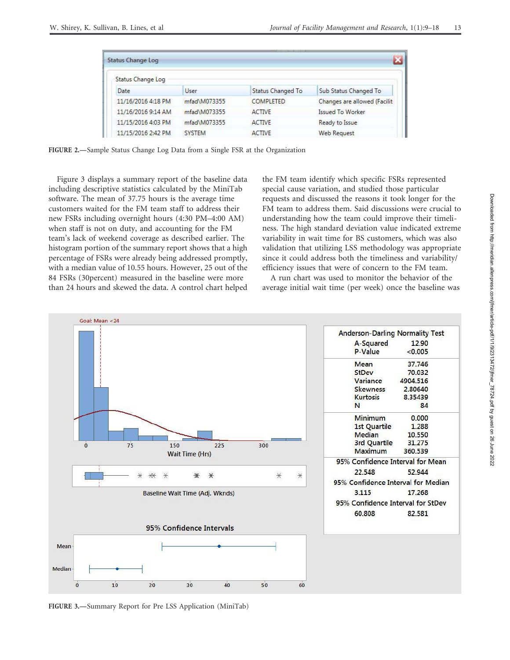| <b>Status Change Log</b> |               |                   |                              |
|--------------------------|---------------|-------------------|------------------------------|
| Status Change Log        |               |                   |                              |
| Date                     | User          | Status Changed To | Sub Status Changed To        |
| 11/16/2016 4:18 PM       | mfad\M073355  | <b>COMPLETED</b>  | Changes are allowed (Facilit |
| 11/16/2016 9:14 AM       | mfad\M073355  | <b>ACTIVE</b>     | Issued To Worker             |
| 11/15/2016 4:03 PM       | mfad\M073355  | <b>ACTIVE</b>     | Ready to Issue               |
| 11/15/2016 2:42 PM       | <b>SYSTEM</b> | <b>ACTIVE</b>     | Web Request                  |

FIGURE 2.—Sample Status Change Log Data from a Single FSR at the Organization

Figure 3 displays a summary report of the baseline data including descriptive statistics calculated by the MiniTab software. The mean of 37.75 hours is the average time customers waited for the FM team staff to address their new FSRs including overnight hours (4:30 PM–4:00 AM) when staff is not on duty, and accounting for the FM team's lack of weekend coverage as described earlier. The histogram portion of the summary report shows that a high percentage of FSRs were already being addressed promptly, with a median value of 10.55 hours. However, 25 out of the 84 FSRs (30percent) measured in the baseline were more than 24 hours and skewed the data. A control chart helped the FM team identify which specific FSRs represented special cause variation, and studied those particular requests and discussed the reasons it took longer for the FM team to address them. Said discussions were crucial to understanding how the team could improve their timeliness. The high standard deviation value indicated extreme variability in wait time for BS customers, which was also validation that utilizing LSS methodology was appropriate since it could address both the timeliness and variability/ efficiency issues that were of concern to the FM team.

A run chart was used to monitor the behavior of the average initial wait time (per week) once the baseline was



FIGURE 3.—Summary Report for Pre LSS Application (MiniTab)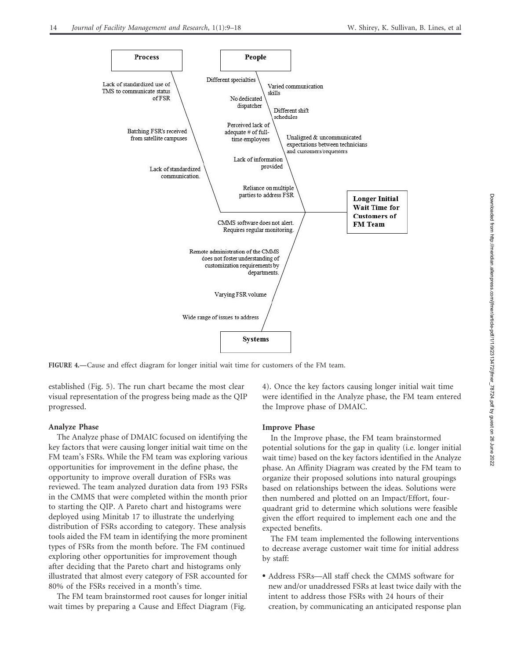

FIGURE 4.—Cause and effect diagram for longer initial wait time for customers of the FM team.

established (Fig. 5). The run chart became the most clear visual representation of the progress being made as the QIP progressed.

## Analyze Phase

The Analyze phase of DMAIC focused on identifying the key factors that were causing longer initial wait time on the FM team's FSRs. While the FM team was exploring various opportunities for improvement in the define phase, the opportunity to improve overall duration of FSRs was reviewed. The team analyzed duration data from 193 FSRs in the CMMS that were completed within the month prior to starting the QIP. A Pareto chart and histograms were deployed using Minitab 17 to illustrate the underlying distribution of FSRs according to category. These analysis tools aided the FM team in identifying the more prominent types of FSRs from the month before. The FM continued exploring other opportunities for improvement though after deciding that the Pareto chart and histograms only illustrated that almost every category of FSR accounted for 80% of the FSRs received in a month's time.

The FM team brainstormed root causes for longer initial wait times by preparing a Cause and Effect Diagram (Fig.

4). Once the key factors causing longer initial wait time were identified in the Analyze phase, the FM team entered the Improve phase of DMAIC.

#### Improve Phase

In the Improve phase, the FM team brainstormed potential solutions for the gap in quality (i.e. longer initial wait time) based on the key factors identified in the Analyze phase. An Affinity Diagram was created by the FM team to organize their proposed solutions into natural groupings based on relationships between the ideas. Solutions were then numbered and plotted on an Impact/Effort, fourquadrant grid to determine which solutions were feasible given the effort required to implement each one and the expected benefits.

The FM team implemented the following interventions to decrease average customer wait time for initial address by staff:

- Address FSRs—All staff check the CMMS software for new and/or unaddressed FSRs at least twice daily with the intent to address those FSRs with 24 hours of their creation, by communicating an anticipated response plan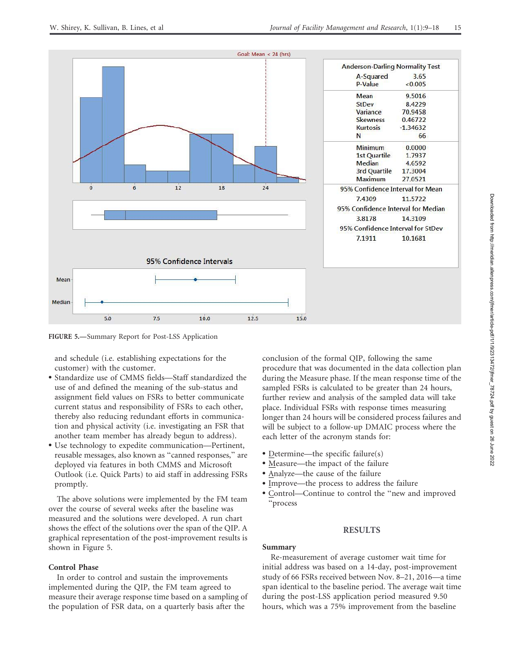

FIGURE 5.—Summary Report for Post-LSS Application

and schedule (i.e. establishing expectations for the customer) with the customer.

- Standardize use of CMMS fields—Staff standardized the use of and defined the meaning of the sub-status and assignment field values on FSRs to better communicate current status and responsibility of FSRs to each other, thereby also reducing redundant efforts in communication and physical activity (i.e. investigating an FSR that another team member has already begun to address).
- Use technology to expedite communication—Pertinent, reusable messages, also known as ''canned responses,'' are deployed via features in both CMMS and Microsoft Outlook (i.e. Quick Parts) to aid staff in addressing FSRs promptly.

The above solutions were implemented by the FM team over the course of several weeks after the baseline was measured and the solutions were developed. A run chart shows the effect of the solutions over the span of the QIP. A graphical representation of the post-improvement results is shown in Figure 5.

## Control Phase

In order to control and sustain the improvements implemented during the QIP, the FM team agreed to measure their average response time based on a sampling of the population of FSR data, on a quarterly basis after the

conclusion of the formal QIP, following the same procedure that was documented in the data collection plan during the Measure phase. If the mean response time of the sampled FSRs is calculated to be greater than 24 hours, further review and analysis of the sampled data will take place. Individual FSRs with response times measuring longer than 24 hours will be considered process failures and will be subject to a follow-up DMAIC process where the each letter of the acronym stands for:

- Determine—the specific failure(s)
- Measure—the impact of the failure
- Analyze—the cause of the failure
- Improve—the process to address the failure
- Control—Continue to control the ''new and improved ''process

## RESULTS

#### Summary

Re-measurement of average customer wait time for initial address was based on a 14-day, post-improvement study of 66 FSRs received between Nov. 8–21, 2016—a time span identical to the baseline period. The average wait time during the post-LSS application period measured 9.50 hours, which was a 75% improvement from the baseline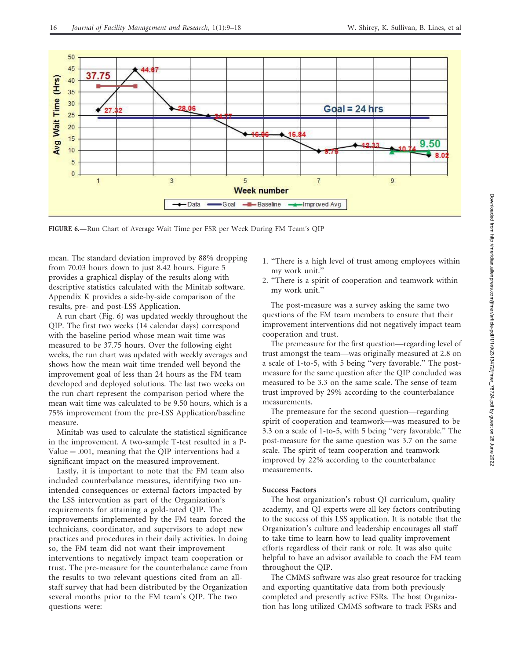

FIGURE 6.—Run Chart of Average Wait Time per FSR per Week During FM Team's QIP

mean. The standard deviation improved by 88% dropping from 70.03 hours down to just 8.42 hours. Figure 5 provides a graphical display of the results along with descriptive statistics calculated with the Minitab software. Appendix K provides a side-by-side comparison of the results, pre- and post-LSS Application.

A run chart (Fig. 6) was updated weekly throughout the QIP. The first two weeks (14 calendar days) correspond with the baseline period whose mean wait time was measured to be 37.75 hours. Over the following eight weeks, the run chart was updated with weekly averages and shows how the mean wait time trended well beyond the improvement goal of less than 24 hours as the FM team developed and deployed solutions. The last two weeks on the run chart represent the comparison period where the mean wait time was calculated to be 9.50 hours, which is a 75% improvement from the pre-LSS Application/baseline measure.

Minitab was used to calculate the statistical significance in the improvement. A two-sample T-test resulted in a P-Value  $= .001$ , meaning that the QIP interventions had a significant impact on the measured improvement.

Lastly, it is important to note that the FM team also included counterbalance measures, identifying two unintended consequences or external factors impacted by the LSS intervention as part of the Organization's requirements for attaining a gold-rated QIP. The improvements implemented by the FM team forced the technicians, coordinator, and supervisors to adopt new practices and procedures in their daily activities. In doing so, the FM team did not want their improvement interventions to negatively impact team cooperation or trust. The pre-measure for the counterbalance came from the results to two relevant questions cited from an allstaff survey that had been distributed by the Organization several months prior to the FM team's QIP. The two questions were:

- 1. ''There is a high level of trust among employees within my work unit.''
- 2. ''There is a spirit of cooperation and teamwork within my work unit.''

The post-measure was a survey asking the same two questions of the FM team members to ensure that their improvement interventions did not negatively impact team cooperation and trust.

The premeasure for the first question—regarding level of trust amongst the team—was originally measured at 2.8 on a scale of 1-to-5, with 5 being ''very favorable.'' The postmeasure for the same question after the QIP concluded was measured to be 3.3 on the same scale. The sense of team trust improved by 29% according to the counterbalance measurements.

The premeasure for the second question—regarding spirit of cooperation and teamwork—was measured to be 3.3 on a scale of 1-to-5, with 5 being ''very favorable.'' The post-measure for the same question was 3.7 on the same scale. The spirit of team cooperation and teamwork improved by 22% according to the counterbalance measurements.

## Success Factors

The host organization's robust QI curriculum, quality academy, and QI experts were all key factors contributing to the success of this LSS application. It is notable that the Organization's culture and leadership encourages all staff to take time to learn how to lead quality improvement efforts regardless of their rank or role. It was also quite helpful to have an advisor available to coach the FM team throughout the QIP.

The CMMS software was also great resource for tracking and exporting quantitative data from both previously completed and presently active FSRs. The host Organization has long utilized CMMS software to track FSRs and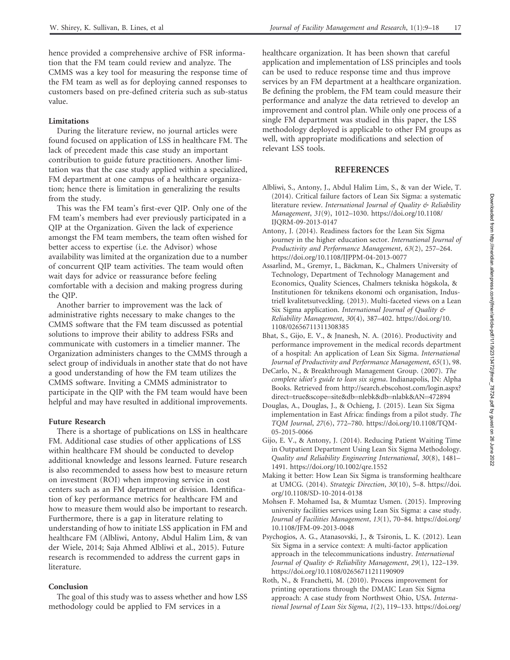hence provided a comprehensive archive of FSR information that the FM team could review and analyze. The CMMS was a key tool for measuring the response time of the FM team as well as for deploying canned responses to customers based on pre-defined criteria such as sub-status value.

## Limitations

During the literature review, no journal articles were found focused on application of LSS in healthcare FM. The lack of precedent made this case study an important contribution to guide future practitioners. Another limitation was that the case study applied within a specialized, FM department at one campus of a healthcare organization; hence there is limitation in generalizing the results from the study.

This was the FM team's first-ever QIP. Only one of the FM team's members had ever previously participated in a QIP at the Organization. Given the lack of experience amongst the FM team members, the team often wished for better access to expertise (i.e. the Advisor) whose availability was limited at the organization due to a number of concurrent QIP team activities. The team would often wait days for advice or reassurance before feeling comfortable with a decision and making progress during the QIP.

Another barrier to improvement was the lack of administrative rights necessary to make changes to the CMMS software that the FM team discussed as potential solutions to improve their ability to address FSRs and communicate with customers in a timelier manner. The Organization administers changes to the CMMS through a select group of individuals in another state that do not have a good understanding of how the FM team utilizes the CMMS software. Inviting a CMMS administrator to participate in the QIP with the FM team would have been helpful and may have resulted in additional improvements.

## Future Research

There is a shortage of publications on LSS in healthcare FM. Additional case studies of other applications of LSS within healthcare FM should be conducted to develop additional knowledge and lessons learned. Future research is also recommended to assess how best to measure return on investment (ROI) when improving service in cost centers such as an FM department or division. Identification of key performance metrics for healthcare FM and how to measure them would also be important to research. Furthermore, there is a gap in literature relating to understanding of how to initiate LSS application in FM and healthcare FM (Albliwi, Antony, Abdul Halim Lim, & van der Wiele, 2014; Saja Ahmed Albliwi et al., 2015). Future research is recommended to address the current gaps in literature.

## Conclusion

The goal of this study was to assess whether and how LSS methodology could be applied to FM services in a

healthcare organization. It has been shown that careful application and implementation of LSS principles and tools can be used to reduce response time and thus improve services by an FM department at a healthcare organization. Be defining the problem, the FM team could measure their performance and analyze the data retrieved to develop an improvement and control plan. While only one process of a single FM department was studied in this paper, the LSS methodology deployed is applicable to other FM groups as well, with appropriate modifications and selection of relevant LSS tools.

## **REFERENCES**

- Albliwi, S., Antony, J., Abdul Halim Lim, S., & van der Wiele, T. (2014). Critical failure factors of Lean Six Sigma: a systematic literature review. International Journal of Quality & Reliability Management, 31(9), 1012–1030. https://doi.org/10.1108/ IJQRM-09-2013-0147
- Antony, J. (2014). Readiness factors for the Lean Six Sigma journey in the higher education sector. International Journal of Productivity and Performance Management, 63(2), 257–264. https://doi.org/10.1108/IJPPM-04-2013-0077
- Assarlind, M., Gremyr, I., Backman, K., Chalmers University of ¨ Technology, Department of Technology Management and Economics, Quality Sciences, Chalmers tekniska högskola, & Institutionen för teknikens ekonomi och organisation, Industriell kvalitetsutveckling. (2013). Multi-faceted views on a Lean Six Sigma application. International Journal of Quality & Reliability Management, 30(4), 387–402. https://doi.org/10. 1108/02656711311308385
- Bhat, S., Gijo, E. V., & Jnanesh, N. A. (2016). Productivity and performance improvement in the medical records department of a hospital: An application of Lean Six Sigma. International Journal of Productivity and Performance Management, 65(1), 98.
- DeCarlo, N., & Breakthrough Management Group. (2007). The complete idiot's guide to lean six sigma. Indianapolis, IN: Alpha Books. Retrieved from http://search.ebscohost.com/login.aspx? direct=true&scope=site&db=nlebk&db=nlabk&AN=472894
- Douglas, A., Douglas, J., & Ochieng, J. (2015). Lean Six Sigma implementation in East Africa: findings from a pilot study. The TQM Journal, 27(6), 772–780. https://doi.org/10.1108/TQM-05-2015-0066
- Gijo, E. V., & Antony, J. (2014). Reducing Patient Waiting Time in Outpatient Department Using Lean Six Sigma Methodology. Quality and Reliability Engineering International, 30(8), 1481– 1491. https://doi.org/10.1002/qre.1552
- Making it better: How Lean Six Sigma is transforming healthcare at UMCG. (2014). Strategic Direction, 30(10), 5–8. https://doi. org/10.1108/SD-10-2014-0138
- Mohsen F. Mohamed Isa, & Mumtaz Usmen. (2015). Improving university facilities services using Lean Six Sigma: a case study. Journal of Facilities Management, 13(1), 70–84. https://doi.org/ 10.1108/JFM-09-2013-0048
- Psychogios, A. G., Atanasovski, J., & Tsironis, L. K. (2012). Lean Six Sigma in a service context: A multi-factor application approach in the telecommunications industry. International Journal of Quality & Reliability Management, 29(1), 122–139. https://doi.org/10.1108/02656711211190909
- Roth, N., & Franchetti, M. (2010). Process improvement for printing operations through the DMAIC Lean Six Sigma approach: A case study from Northwest Ohio, USA. International Journal of Lean Six Sigma, 1(2), 119–133. https://doi.org/